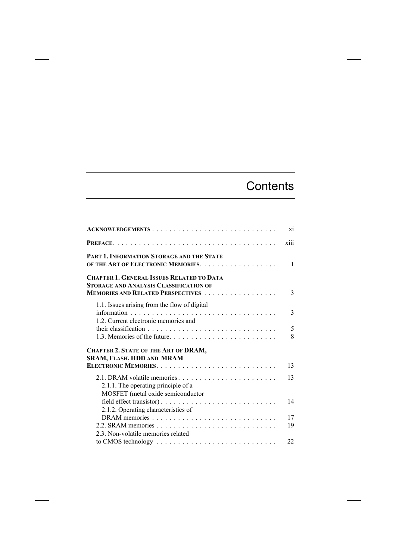## **Contents**

| ACKNOWLEDGEMENTS                                                                                        | xi           |
|---------------------------------------------------------------------------------------------------------|--------------|
|                                                                                                         | xiii         |
| PART 1. INFORMATION STORAGE AND THE STATE<br>OF THE ART OF ELECTRONIC MEMORIES.                         | $\mathbf{1}$ |
| <b>CHAPTER 1. GENERAL ISSUES RELATED TO DATA</b><br><b>STORAGE AND ANALYSIS CLASSIFICATION OF</b>       | 3            |
| 1.1. Issues arising from the flow of digital<br>1.2. Current electronic memories and                    | 3            |
| 1.3. Memories of the future.                                                                            | 5<br>8       |
| <b>CHAPTER 2. STATE OF THE ART OF DRAM,</b><br>SRAM, FLASH, HDD AND MRAM                                |              |
| ELECTRONIC MEMORIES                                                                                     | 13           |
| 2.1. DRAM volatile memories<br>2.1.1. The operating principle of a<br>MOSFET (metal oxide semiconductor | 13           |
| 2.1.2. Operating characteristics of                                                                     | 14           |
|                                                                                                         | 17<br>19     |
| 2.3. Non-volatile memories related                                                                      | 22           |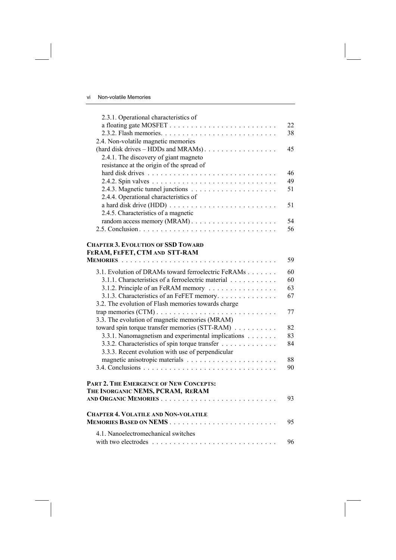| 2.3.1. Operational characteristics of                                                              |    |
|----------------------------------------------------------------------------------------------------|----|
|                                                                                                    | 22 |
|                                                                                                    | 38 |
| 2.4. Non-volatile magnetic memories                                                                |    |
|                                                                                                    | 45 |
| 2.4.1. The discovery of giant magneto                                                              |    |
| resistance at the origin of the spread of                                                          |    |
|                                                                                                    | 46 |
|                                                                                                    | 49 |
|                                                                                                    | 51 |
| 2.4.4. Operational characteristics of                                                              |    |
|                                                                                                    | 51 |
| 2.4.5. Characteristics of a magnetic                                                               |    |
|                                                                                                    | 54 |
|                                                                                                    | 56 |
| <b>CHAPTER 3. EVOLUTION OF SSD TOWARD</b><br>FERAM, FEFET, CTM AND STT-RAM<br><b>MEMORIES</b><br>. | 59 |
|                                                                                                    |    |
| 3.1. Evolution of DRAMs toward ferroelectric FeRAMs                                                | 60 |
| 3.1.1. Characteristics of a ferroelectric material                                                 | 60 |
| 3.1.2. Principle of an FeRAM memory                                                                | 63 |
| 3.1.3. Characteristics of an FeFET memory.                                                         | 67 |
| 3.2. The evolution of Flash memories towards charge                                                |    |
|                                                                                                    | 77 |
| 3.3. The evolution of magnetic memories (MRAM)                                                     |    |
| toward spin torque transfer memories (STT-RAM)                                                     | 82 |
| 3.3.1. Nanomagnetism and experimental implications                                                 | 83 |
| 3.3.2. Characteristics of spin torque transfer                                                     | 84 |
| 3.3.3. Recent evolution with use of perpendicular                                                  |    |
|                                                                                                    | 88 |
|                                                                                                    | 90 |
| PART 2. THE EMERGENCE OF NEW CONCEPTS:                                                             |    |
| THE INORGANIC NEMS, PCRAM, RERAM                                                                   |    |
|                                                                                                    | 93 |
|                                                                                                    |    |
| <b>CHAPTER 4. VOLATILE AND NON-VOLATILE</b>                                                        | 95 |
| 4.1. Nanoelectromechanical switches                                                                |    |
|                                                                                                    | 96 |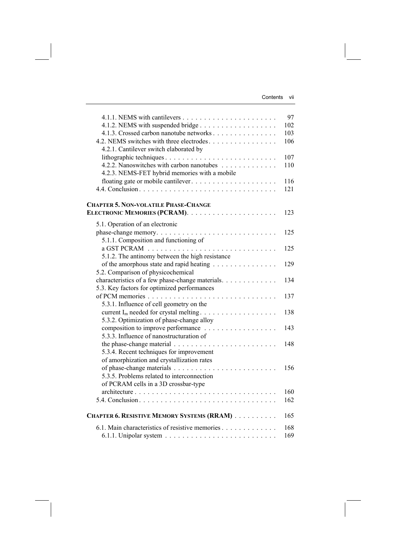|                                                                                                                               | 97<br>102  |
|-------------------------------------------------------------------------------------------------------------------------------|------------|
| 4.1.3. Crossed carbon nanotube networks<br>4.2. NEMS switches with three electrodes<br>4.2.1. Cantilever switch elaborated by | 103<br>106 |
|                                                                                                                               | 107        |
| 4.2.2. Nanoswitches with carbon nanotubes                                                                                     | 110        |
| 4.2.3. NEMS-FET hybrid memories with a mobile                                                                                 |            |
| floating gate or mobile cantilever                                                                                            | 116        |
|                                                                                                                               | 121        |
| <b>CHAPTER 5. NON-VOLATILE PHASE-CHANGE</b>                                                                                   |            |
|                                                                                                                               | 123        |
| 5.1. Operation of an electronic                                                                                               |            |
|                                                                                                                               | 125        |
| 5.1.1. Composition and functioning of                                                                                         |            |
|                                                                                                                               | 125        |
| 5.1.2. The antinomy between the high resistance                                                                               |            |
| of the amorphous state and rapid heating                                                                                      | 129        |
| 5.2. Comparison of physicochemical                                                                                            |            |
| characteristics of a few phase-change materials.                                                                              | 134        |
| 5.3. Key factors for optimized performances                                                                                   | 137        |
| 5.3.1. Influence of cell geometry on the                                                                                      |            |
|                                                                                                                               | 138        |
| 5.3.2. Optimization of phase-change alloy                                                                                     |            |
|                                                                                                                               | 143        |
| 5.3.3. Influence of nanostructuration of                                                                                      |            |
|                                                                                                                               | 148        |
| 5.3.4. Recent techniques for improvement                                                                                      |            |
| of amorphization and crystallization rates                                                                                    |            |
|                                                                                                                               | 156        |
| 5.3.5. Problems related to interconnection                                                                                    |            |
| of PCRAM cells in a 3D crossbar-type                                                                                          |            |
|                                                                                                                               | 160        |
|                                                                                                                               | 162        |
| CHAPTER 6. RESISTIVE MEMORY SYSTEMS (RRAM)                                                                                    | 165        |
| 6.1. Main characteristics of resistive memories                                                                               | 168        |
|                                                                                                                               | 169        |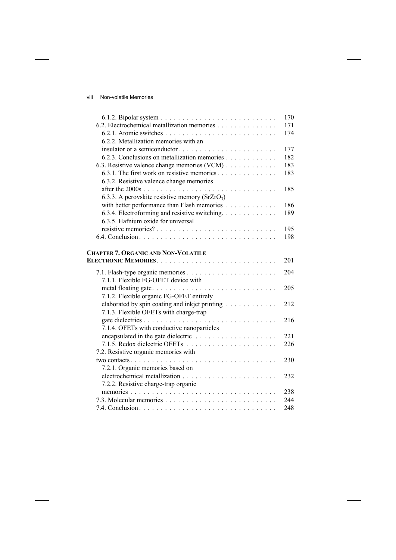|                                                   | 170 |
|---------------------------------------------------|-----|
| 6.2. Electrochemical metallization memories       | 171 |
|                                                   | 174 |
| 6.2.2. Metallization memories with an             |     |
| insulator or a semiconductor                      | 177 |
| 6.2.3. Conclusions on metallization memories      | 182 |
| 6.3. Resistive valence change memories (VCM)      | 183 |
| 6.3.1. The first work on resistive memories       | 183 |
| 6.3.2. Resistive valence change memories          |     |
|                                                   | 185 |
| 6.3.3. A perovskite resistive memory ( $SrZrO3$ ) |     |
| with better performance than Flash memories       | 186 |
| 6.3.4. Electroforming and resistive switching.    | 189 |
| 6.3.5. Hafnium oxide for universal                |     |
|                                                   | 195 |
|                                                   | 198 |
|                                                   |     |
| <b>CHAPTER 7. ORGANIC AND NON-VOLATILE</b>        |     |
|                                                   | 201 |
|                                                   | 204 |
| 7.1.1. Flexible FG-OFET device with               |     |
|                                                   | 205 |
| 7.1.2. Flexible organic FG-OFET entirely          |     |
| elaborated by spin coating and inkjet printing    | 212 |
| 7.1.3. Flexible OFETs with charge-trap            |     |
|                                                   | 216 |
| 7.1.4. OFETs with conductive nanoparticles        |     |
|                                                   | 221 |
|                                                   | 226 |
| 7.2. Resistive organic memories with              |     |
|                                                   | 230 |
| 7.2.1. Organic memories based on                  |     |
|                                                   | 232 |
| 7.2.2. Resistive charge-trap organic              |     |
|                                                   | 238 |
|                                                   | 244 |
|                                                   | 248 |